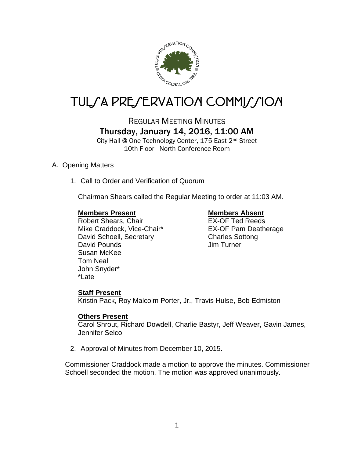

# TUL/A PRE/ERVATION COMMI*J*/ION

REGULAR MEETING MINUTES Thursday, January 14, 2016, 11:00 AM

City Hall @ One Technology Center, 175 East 2nd Street 10th Floor - North Conference Room

### A. Opening Matters

1. Call to Order and Verification of Quorum

Chairman Shears called the Regular Meeting to order at 11:03 AM.

### **Members Present Members Absent**

Robert Shears, Chair **EX-OF Ted Reeds** Mike Craddock, Vice-Chair\* EX-OF Pam Deatherage David Schoell, Secretary Charles Sottong David Pounds **David Pounds Jim Turner** Susan McKee Tom Neal John Snyder\* \*Late

## **Staff Present**

Kristin Pack, Roy Malcolm Porter, Jr., Travis Hulse, Bob Edmiston

### **Others Present**

Carol Shrout, Richard Dowdell, Charlie Bastyr, Jeff Weaver, Gavin James, Jennifer Selco

2. Approval of Minutes from December 10, 2015.

Commissioner Craddock made a motion to approve the minutes. Commissioner Schoell seconded the motion. The motion was approved unanimously.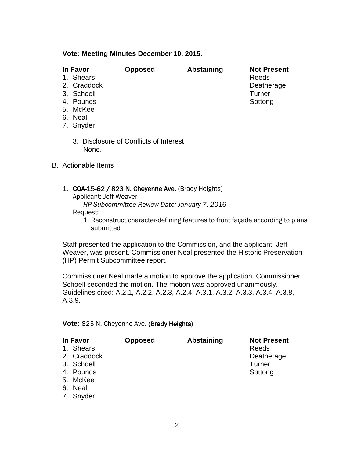### **Vote: Meeting Minutes December 10, 2015.**

| I | ı۷<br>70 |  |
|---|----------|--|
|   |          |  |

- 1. Shears
- 
- 3. Schoell Turner
- 4. Pounds Sottong Southern School Southern Southern Southern Southern Southern Southern Southern Southern Southern Southern Southern Southern Southern Southern Southern Southern Southern Southern Southern Southern Southern
- 5. McKee
- 6. Neal
- 7. Snyder
	- 3. Disclosure of Conflicts of Interest None.
- B. Actionable Items
	- 1. COA-15-62 / 823 N. Cheyenne Ave. (Brady Heights) Applicant: Jeff Weaver
		- *HP Subcommittee Review Date: January 7, 2016* Request:
			- 1. Reconstruct character-defining features to front façade according to plans submitted

Staff presented the application to the Commission, and the applicant, Jeff Weaver, was present. Commissioner Neal presented the Historic Preservation (HP) Permit Subcommittee report.

Commissioner Neal made a motion to approve the application. Commissioner Schoell seconded the motion. The motion was approved unanimously. Guidelines cited: A.2.1, A.2.2, A.2.3, A.2.4, A.3.1, A.3.2, A.3.3, A.3.4, A.3.8, A.3.9.

**Vote:** 823 N. Cheyenne Ave. (Brady Heights)

| In Favor    | <b>Opposed</b> | <b>Abstaining</b> | <b>Not Present</b> |
|-------------|----------------|-------------------|--------------------|
| 1. Shears   |                |                   | Reeds              |
| 2. Craddock |                |                   | Deatherage         |
| 3. Schoell  |                |                   | <b>Turner</b>      |
| 4. Pounds   |                |                   | Sottong            |
| 5. McKee    |                |                   |                    |
| 6. Neal     |                |                   |                    |
| 7. Snyder   |                |                   |                    |

**<u>Opposed</u> <b>Abstaining Not Present**<br>Reeds 2. Craddock Deatherage 2. Craddock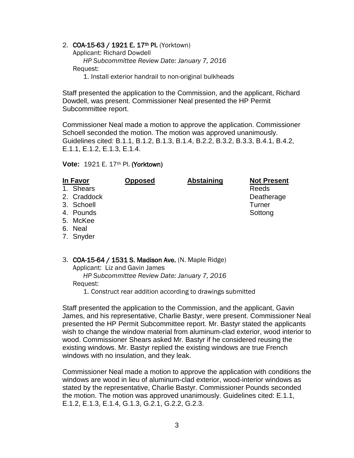2. COA-15-63 / 1921 E. 17<sup>th</sup> Pl. (Yorktown) Applicant: Richard Dowdell *HP Subcommittee Review Date: January 7, 2016* Request:

1. Install exterior handrail to non-original bulkheads

Staff presented the application to the Commission, and the applicant, Richard Dowdell, was present. Commissioner Neal presented the HP Permit Subcommittee report.

Commissioner Neal made a motion to approve the application. Commissioner Schoell seconded the motion. The motion was approved unanimously. Guidelines cited: B.1.1, B.1.2, B.1.3, B.1.4, B.2.2, B.3.2, B.3.3, B.4.1, B.4.2, E.1.1, E.1.2, E.1.3, E.1.4.

**Vote:** 1921 E. 17th Pl. (Yorktown)

| In Favor    | <b>Opposed</b> | <b>Abstaining</b> | <b>Not Present</b> |
|-------------|----------------|-------------------|--------------------|
| 1. Shears   |                |                   | Reeds              |
| 2. Craddock |                |                   | Deatherage         |
| 3. Schoell  |                |                   | <b>Turner</b>      |
| 4. Pounds   |                |                   | Sottong            |
| 5. McKee    |                |                   |                    |
| 6. Neal     |                |                   |                    |
| 7. Snyder   |                |                   |                    |

3. COA-15-64 / 1531 S. Madison Ave. (N. Maple Ridge)

Applicant: Liz and Gavin James

 *HP Subcommittee Review Date: January 7, 2016* Request:

1. Construct rear addition according to drawings submitted

Staff presented the application to the Commission, and the applicant, Gavin James, and his representative, Charlie Bastyr, were present. Commissioner Neal presented the HP Permit Subcommittee report. Mr. Bastyr stated the applicants wish to change the window material from aluminum-clad exterior, wood interior to wood. Commissioner Shears asked Mr. Bastyr if he considered reusing the existing windows. Mr. Bastyr replied the existing windows are true French windows with no insulation, and they leak.

Commissioner Neal made a motion to approve the application with conditions the windows are wood in lieu of aluminum-clad exterior, wood-interior windows as stated by the representative, Charlie Bastyr. Commissioner Pounds seconded the motion. The motion was approved unanimously. Guidelines cited: E.1.1, E.1.2, E.1.3, E.1.4, G.1.3, G.2.1, G.2.2, G.2.3.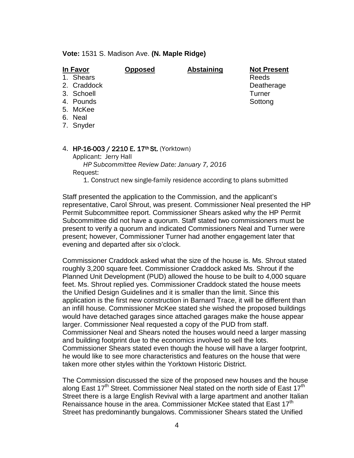**Vote:** 1531 S. Madison Ave. **(N. Maple Ridge)**

| In Favor     | <b>Opposed</b> | <b>Abstaining</b> | <b>Not Present</b> |
|--------------|----------------|-------------------|--------------------|
| Shears<br>1. |                |                   | Reeds              |
| 2. Craddock  |                |                   | Deatherage         |
| 3. Schoell   |                |                   | Turner             |
| 4. Pounds    |                |                   | Sottong            |
| 5. McKee     |                |                   |                    |
| 6. Neal      |                |                   |                    |
| 7. Snyder    |                |                   |                    |
|              |                |                   |                    |

#### 4. HP-16-003 / 2210 E. 17<sup>th</sup> St. (Yorktown)

Applicant: Jerry Hall *HP Subcommittee Review Date: January 7, 2016* Request:

1. Construct new single-family residence according to plans submitted

Staff presented the application to the Commission, and the applicant's representative, Carol Shrout, was present. Commissioner Neal presented the HP Permit Subcommittee report. Commissioner Shears asked why the HP Permit Subcommittee did not have a quorum. Staff stated two commissioners must be present to verify a quorum and indicated Commissioners Neal and Turner were present; however, Commissioner Turner had another engagement later that evening and departed after six o'clock.

Commissioner Craddock asked what the size of the house is. Ms. Shrout stated roughly 3,200 square feet. Commissioner Craddock asked Ms. Shrout if the Planned Unit Development (PUD) allowed the house to be built to 4,000 square feet. Ms. Shrout replied yes. Commissioner Craddock stated the house meets the Unified Design Guidelines and it is smaller than the limit. Since this application is the first new construction in Barnard Trace, it will be different than an infill house. Commissioner McKee stated she wished the proposed buildings would have detached garages since attached garages make the house appear larger. Commissioner Neal requested a copy of the PUD from staff. Commissioner Neal and Shears noted the houses would need a larger massing and building footprint due to the economics involved to sell the lots. Commissioner Shears stated even though the house will have a larger footprint, he would like to see more characteristics and features on the house that were taken more other styles within the Yorktown Historic District.

The Commission discussed the size of the proposed new houses and the house along East  $17<sup>th</sup>$  Street. Commissioner Neal stated on the north side of East  $17<sup>th</sup>$ Street there is a large English Revival with a large apartment and another Italian Renaissance house in the area. Commissioner McKee stated that East 17<sup>th</sup> Street has predominantly bungalows. Commissioner Shears stated the Unified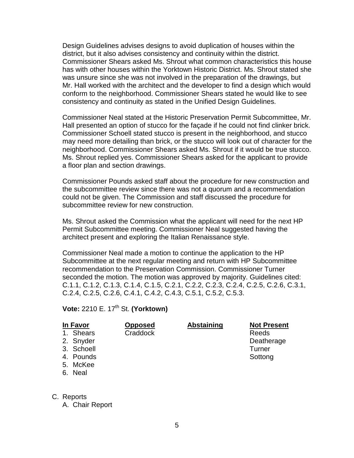Design Guidelines advises designs to avoid duplication of houses within the district, but it also advises consistency and continuity within the district. Commissioner Shears asked Ms. Shrout what common characteristics this house has with other houses within the Yorktown Historic District. Ms. Shrout stated she was unsure since she was not involved in the preparation of the drawings, but Mr. Hall worked with the architect and the developer to find a design which would conform to the neighborhood. Commissioner Shears stated he would like to see consistency and continuity as stated in the Unified Design Guidelines.

Commissioner Neal stated at the Historic Preservation Permit Subcommittee, Mr. Hall presented an option of stucco for the façade if he could not find clinker brick. Commissioner Schoell stated stucco is present in the neighborhood, and stucco may need more detailing than brick, or the stucco will look out of character for the neighborhood. Commissioner Shears asked Ms. Shrout if it would be true stucco. Ms. Shrout replied yes. Commissioner Shears asked for the applicant to provide a floor plan and section drawings.

Commissioner Pounds asked staff about the procedure for new construction and the subcommittee review since there was not a quorum and a recommendation could not be given. The Commission and staff discussed the procedure for subcommittee review for new construction.

Ms. Shrout asked the Commission what the applicant will need for the next HP Permit Subcommittee meeting. Commissioner Neal suggested having the architect present and exploring the Italian Renaissance style.

Commissioner Neal made a motion to continue the application to the HP Subcommittee at the next regular meeting and return with HP Subcommittee recommendation to the Preservation Commission. Commissioner Turner seconded the motion. The motion was approved by majority. Guidelines cited: C.1.1, C.1.2, C.1.3, C.1.4, C.1.5, C.2.1, C.2.2, C.2.3, C.2.4, C.2.5, C.2.6, C.3.1, C.2.4, C.2.5, C.2.6, C.4.1, C.4.2, C.4.3, C.5.1, C.5.2, C.5.3.

**Vote:** 2210 E. 17<sup>th</sup> St. **(Yorktown)** 

| in Favor |
|----------|
| ears     |

- **In Favor Opposed Abstaining Not Present**
- 2. Snyder **Deatherage**
- 3. Schoell Turner
- 4. Pounds **Sottong** Sottong **Sottong** Sottong
- 5. McKee
- 6. Neal
- 
- C. Reports

A. Chair Report

5